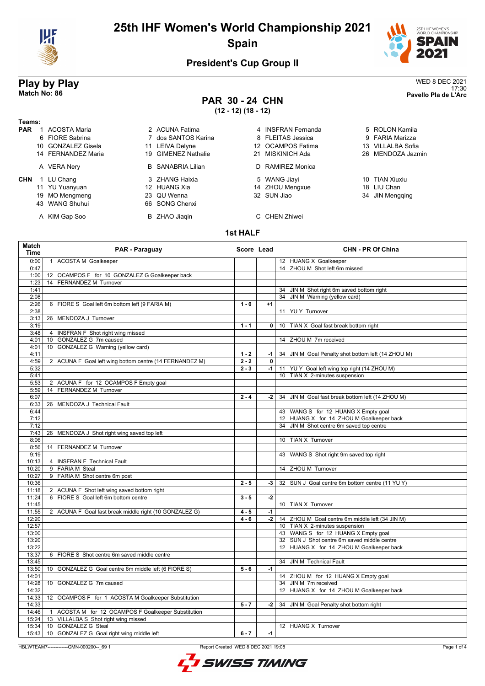

# **25th IHF Women's World Championship 2021 Spain**



### **President's Cup Group II**

# **Play by Play**<br>Match No: 86<br>Pavello Pla de L'Arc

43 WANG Shuhui

# **PAR 30 - 24 CHN**

**(12 - 12) (18 - 12)**

| Teams:     |                     |                          |                    |                   |
|------------|---------------------|--------------------------|--------------------|-------------------|
| <b>PAR</b> | <b>ACOSTA Maria</b> | 2 ACUNA Fatima           | 4 INSFRAN Fernanda | 5 ROLON Kamila    |
|            | 6 FIORE Sabrina     | 7 dos SANTOS Karina      | 8 FLEITAS Jessica  | 9 FARIA Marizza   |
|            | 10 GONZALEZ Gisela  | 11 LEIVA Delyne          | 12 OCAMPOS Fatima  | 13 VILLALBA Sofia |
|            | 14 FERNANDEZ Maria  | 19 GIMENEZ Nathalie      | 21 MISKINICH Ada   | 26 MENDOZA Jazmin |
|            | A VERA Nery         | <b>B</b> SANABRIA Lilian | D RAMIREZ Monica   |                   |
| <b>CHN</b> | LU Chang            | 3 ZHANG Haixia           | 5 WANG Jiayi       | 10 TIAN Xiuxiu    |
|            | 11 YU Yuanvuan      | 12 HUANG Xia             | 14 ZHOU Menaxue    | 18 LIU Chan       |

19 MO Mengmeng 23 QU Wenna 32 SUN Jiao 32 SUN Jiao 32 SUN Jiao 32 SUN Jiao 32 SUN Jiao 32 SUN Jiao 32 SUN Jiao

| 4 INSERAN FEINANGA |
|--------------------|
| 8 FLEITAS Jessica  |
| 12 OCAMPOS Fatima  |
| 21 MISKINICH Ada   |
| D RAMIREZ Monica   |
| 5 MANG lioni       |

11 YU Yuanyuan 12 HUANG Xia 14 ZHOU Mengxue 18 LIU Chan

### A KIM Gap Soo B ZHAO Jiaqin C CHEN Zhiwei

17:30 **Match No: 86 Pavello Pla de L'Arc**

| 5 RULUN Kamila    |
|-------------------|
| 9 FARIA Marizza   |
| 13 VILLALBA Sofia |
| 26 MENDOZA Jazmi  |
|                   |
|                   |
|                   |

#### **1st HALF**

| Match<br><b>Time</b> | PAR - Paraguay                                          | Score Lead |                | <b>CHN - PR Of China</b>                                                        |  |
|----------------------|---------------------------------------------------------|------------|----------------|---------------------------------------------------------------------------------|--|
| 0:00                 | <b>ACOSTA M Goalkeeper</b><br>$\mathbf{1}$              |            |                | 12 HUANG X Goalkeeper                                                           |  |
| 0:47                 |                                                         |            |                | 14 ZHOU M Shot left 6m missed                                                   |  |
| 1:00                 | 12 OCAMPOS F for 10 GONZALEZ G Goalkeeper back          |            |                |                                                                                 |  |
| 1:23                 | 14 FERNANDEZ M Turnover                                 |            |                |                                                                                 |  |
| 1:41                 |                                                         |            |                | 34 JIN M Shot right 6m saved bottom right                                       |  |
| 2:08                 |                                                         |            |                | 34 JIN M Warning (yellow card)                                                  |  |
| 2:26                 | 6 FIORE S Goal left 6m bottom left (9 FARIA M)          | $1 - 0$    | $+1$           |                                                                                 |  |
| 2:38                 |                                                         |            |                | 11 YUY Turnover                                                                 |  |
| 3:13                 | 26 MENDOZA J Turnover                                   |            |                |                                                                                 |  |
| 3:19                 |                                                         | $1 - 1$    | $\overline{0}$ | 10 TIAN X Goal fast break bottom right                                          |  |
| 3:48                 | 4 INSFRAN F Shot right wing missed                      |            |                |                                                                                 |  |
| 4:01                 | GONZALEZ G 7m caused<br>10 <sup>°</sup>                 |            |                | 14 ZHOU M 7m received                                                           |  |
| 4:01                 | 10 GONZALEZ G Warning (yellow card)                     |            |                |                                                                                 |  |
| 4:11                 |                                                         | $1 - 2$    | -1             | 34 JIN M Goal Penalty shot bottom left (14 ZHOU M)                              |  |
| 4:59                 | 2 ACUNA F Goal left wing bottom centre (14 FERNANDEZ M) | $2 - 2$    | 0              |                                                                                 |  |
| 5:32                 |                                                         | $2 - 3$    | $-1$           | 11 YU Y Goal left wing top right (14 ZHOU M)                                    |  |
| 5:41                 |                                                         |            |                | 10 TIAN X 2-minutes suspension                                                  |  |
| 5:53                 | 2 ACUNA F for 12 OCAMPOS F Empty goal                   |            |                |                                                                                 |  |
| 5:59                 | 14 FERNANDEZ M Turnover                                 |            |                |                                                                                 |  |
| 6:07                 |                                                         | $2 - 4$    | -2             | 34 JIN M Goal fast break bottom left (14 ZHOU M)                                |  |
| 6:33                 | 26 MENDOZA J Technical Fault                            |            |                |                                                                                 |  |
| 6:44<br>7:12         |                                                         |            |                | 43 WANG S for 12 HUANG X Empty goal<br>12 HUANG X for 14 ZHOU M Goalkeeper back |  |
| 7:12                 |                                                         |            |                | 34 JIN M Shot centre 6m saved top centre                                        |  |
| 7:43                 | 26 MENDOZA J Shot right wing saved top left             |            |                |                                                                                 |  |
| 8:06                 |                                                         |            |                | 10 TIAN X Turnover                                                              |  |
| 8:56                 | 14 FERNANDEZ M Turnover                                 |            |                |                                                                                 |  |
| 9:19                 |                                                         |            |                | 43 WANG S Shot right 9m saved top right                                         |  |
| 10:13                | 4 INSFRAN F Technical Fault                             |            |                |                                                                                 |  |
| 10:20                | 9 FARIA M Steal                                         |            |                | 14 ZHOU M Turnover                                                              |  |
| 10:27                | 9 FARIA M Shot centre 6m post                           |            |                |                                                                                 |  |
| 10:36                |                                                         | $2 - 5$    | $-3$           | 32 SUN J Goal centre 6m bottom centre (11 YU Y)                                 |  |
| 11:18                | 2 ACUNA F Shot left wing saved bottom right             |            |                |                                                                                 |  |
| 11:24                | 6 FIORE S Goal left 6m bottom centre                    | $3 - 5$    | $-2$           |                                                                                 |  |
| 11:45                |                                                         |            |                | 10 TIAN X Turnover                                                              |  |
| 11:55                | 2 ACUNA F Goal fast break middle right (10 GONZALEZ G)  | $4 - 5$    | $-1$           |                                                                                 |  |
| 12:20                |                                                         | $4 - 6$    | $-2$           | 14 ZHOU M Goal centre 6m middle left (34 JIN M)                                 |  |
| 12:57                |                                                         |            |                | 10 TIAN X 2-minutes suspension                                                  |  |
| 13:00                |                                                         |            |                | 43 WANG S for 12 HUANG X Empty goal                                             |  |
| 13:20                |                                                         |            |                | 32 SUN J Shot centre 6m saved middle centre                                     |  |
| 13:22                |                                                         |            |                | 12 HUANG X for 14 ZHOU M Goalkeeper back                                        |  |
| 13:37                | 6 FIORE S Shot centre 6m saved middle centre            |            |                |                                                                                 |  |
| 13:45                |                                                         |            |                | 34 JIN M Technical Fault                                                        |  |
| 13:50                | 10 GONZALEZ G Goal centre 6m middle left (6 FIORE S)    | $5 - 6$    | $-1$           |                                                                                 |  |
| 14:01                |                                                         |            |                | 14 ZHOU M for 12 HUANG X Empty goal                                             |  |
| 14:28                | 10 GONZALEZ G 7m caused                                 |            |                | 34 JIN M 7m received                                                            |  |
| 14:32                |                                                         |            |                | 12 HUANG X for 14 ZHOU M Goalkeeper back                                        |  |
| 14:33                | 12 OCAMPOS F for 1 ACOSTA M Goalkeeper Substitution     |            |                |                                                                                 |  |
| 14:33                |                                                         | $5 - 7$    | $-2$           | 34 JIN M Goal Penalty shot bottom right                                         |  |
| 14:46                | 1 ACOSTA M for 12 OCAMPOS F Goalkeeper Substitution     |            |                |                                                                                 |  |
| 15:24                | 13 VILLALBA S Shot right wing missed                    |            |                |                                                                                 |  |
| 15:34                | 10 GONZALEZ G Steal                                     |            |                | 12 HUANG X Turnover                                                             |  |
| 15:43                | 10 GONZALEZ G Goal right wing middle left               | $6 - 7$    | $-1$           |                                                                                 |  |

HBLWTEAM7--------------GMN-000200--\_69 1 Report Created WED 8 DEC 2021 19:08

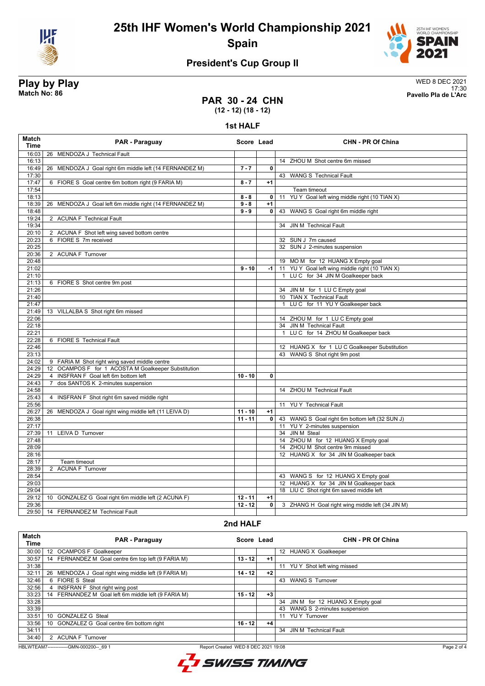

**25th IHF Women's World Championship 2021 Spain**



## **President's Cup Group II**

**Play by Play**<br>Match No: 86<br>Pavello Pla de L'Arc 17:30 **Match No: 86 Pavello Pla de L'Arc**

#### **PAR 30 - 24 CHN (12 - 12) (18 - 12)**

**1st HALF**

| Match<br><b>Time</b> | PAR - Paraguay                                                      | Score Lead |                         | <b>CHN - PR Of China</b>                           |
|----------------------|---------------------------------------------------------------------|------------|-------------------------|----------------------------------------------------|
| 16:03                | 26 MENDOZA J Technical Fault                                        |            |                         |                                                    |
| 16:13                |                                                                     |            |                         | 14 ZHOU M Shot centre 6m missed                    |
| 16:49                | 26 MENDOZA J Goal right 6m middle left (14 FERNANDEZ M)             | $7 - 7$    | $\Omega$                |                                                    |
| 17:30                |                                                                     |            |                         | 43 WANG S Technical Fault                          |
| 17:47                | 6 FIORE S Goal centre 6m bottom right (9 FARIA M)                   | $8 - 7$    | $+1$                    |                                                    |
| 17:54                |                                                                     |            |                         | Team timeout                                       |
| 18:13                |                                                                     | $8 - 8$    | $\overline{0}$          | YU Y Goal left wing middle right (10 TIAN X)<br>11 |
| 18:39                | 26 MENDOZA J Goal left 6m middle right (14 FERNANDEZ M)             | $9 - 8$    | $+1$                    |                                                    |
| 18:48                |                                                                     | $9 - 9$    | $\mathbf 0$             | 43 WANG S Goal right 6m middle right               |
| 19:24                | 2 ACUNA F Technical Fault                                           |            |                         |                                                    |
| 19:34                |                                                                     |            |                         | 34 JIN M Technical Fault                           |
| 20:10                | 2 ACUNA F Shot left wing saved bottom centre                        |            |                         |                                                    |
| 20:23                | 6 FIORE S 7m received                                               |            |                         | 32 SUN J 7m caused                                 |
| 20:25                |                                                                     |            |                         | 32 SUN J 2-minutes suspension                      |
| 20:36                | 2 ACUNA F Turnover                                                  |            |                         |                                                    |
| 20:48                |                                                                     |            |                         | 19 MOM for 12 HUANG X Empty goal                   |
| 21:02                |                                                                     | $9 - 10$   | $-1$                    | 11 YU Y Goal left wing middle right (10 TIAN X)    |
| 21:10                |                                                                     |            |                         | 1 LUC for 34 JIN M Goalkeeper back                 |
| 21:13                | 6 FIORE S Shot centre 9m post                                       |            |                         |                                                    |
| 21:26                |                                                                     |            |                         | 34 JIN M for 1 LU C Empty goal                     |
| 21:40                |                                                                     |            |                         | 10 TIAN X Technical Fault                          |
| 21:47                |                                                                     |            |                         | LUC for 11 YUY Goalkeeper back                     |
| 21:49                | 13 VILLALBA S Shot right 6m missed                                  |            |                         |                                                    |
| 22:06                |                                                                     |            |                         | 14 ZHOU M for 1 LU C Empty goal                    |
| 22:18                |                                                                     |            |                         | 34 JIN M Technical Fault                           |
| 22:21                |                                                                     |            |                         | LU C for 14 ZHOU M Goalkeeper back<br>$\mathbf{1}$ |
| 22:28                | 6 FIORE S Technical Fault                                           |            |                         |                                                    |
| 22:46                |                                                                     |            |                         | 12 HUANG X for 1 LU C Goalkeeper Substitution      |
| 23:13                |                                                                     |            |                         | 43 WANG S Shot right 9m post                       |
| 24:02                | 9 FARIA M Shot right wing saved middle centre                       |            |                         |                                                    |
| 24:29                | OCAMPOS F for 1 ACOSTA M Goalkeeper Substitution<br>12              |            |                         |                                                    |
| 24:29                | INSFRAN F Goal left 6m bottom left<br>4                             | $10 - 10$  | $\mathbf{0}$            |                                                    |
| 24:43                | dos SANTOS K 2-minutes suspension<br>$\overline{7}$                 |            |                         |                                                    |
| 24:58                |                                                                     |            |                         | 14 ZHOU M Technical Fault                          |
| 25:43                | 4 INSFRAN F Shot right 6m saved middle right                        |            |                         |                                                    |
| 25:56                |                                                                     |            |                         | 11 YU Y Technical Fault                            |
| 26:27                | 26 MENDOZA J Goal right wing middle left (11 LEIVA D)               | $11 - 10$  | $+1$                    |                                                    |
| 26:38                |                                                                     | $11 - 11$  | $\overline{\mathbf{0}}$ | 43 WANG S Goal right 6m bottom left (32 SUN J)     |
| 27:17                |                                                                     |            |                         | 11 YU Y 2-minutes suspension                       |
| 27:39                | LEIVA D Turnover<br>11                                              |            |                         | 34 JIN M Steal                                     |
| 27:48                |                                                                     |            |                         | 14 ZHOU M for 12 HUANG X Empty goal                |
| 28:09                |                                                                     |            |                         | 14 ZHOU M Shot centre 9m missed                    |
| 28:16                |                                                                     |            |                         | 12 HUANG X for 34 JIN M Goalkeeper back            |
| 28:17                | Team timeout                                                        |            |                         |                                                    |
| 28:39                | 2 ACUNA F Turnover                                                  |            |                         |                                                    |
| 28:54                |                                                                     |            |                         | 43 WANG S for 12 HUANG X Empty goal                |
| 29:03                |                                                                     |            |                         | 12 HUANG X for 34 JIN M Goalkeeper back            |
| 29:04                |                                                                     |            |                         | 18 LIU C Shot right 6m saved middle left           |
| 29:12                | GONZALEZ G Goal right 6m middle left (2 ACUNA F)<br>10 <sup>°</sup> | $12 - 11$  | $+1$                    |                                                    |
| 29:36                |                                                                     | $12 - 12$  | 0                       | 3 ZHANG H Goal right wing middle left (34 JIN M)   |
| 29:50                | 14 FERNANDEZ M Technical Fault                                      |            |                         |                                                    |
|                      |                                                                     |            |                         |                                                    |

#### **2nd HALF**

| <b>Match</b><br>Time | <b>PAR - Paraguay</b>                                                                         | Score Lead |      | <b>CHN - PR Of China</b>           |  |  |
|----------------------|-----------------------------------------------------------------------------------------------|------------|------|------------------------------------|--|--|
| 30:00                | 12 OCAMPOS F Goalkeeper                                                                       |            |      | 12 HUANG X Goalkeeper              |  |  |
| 30:57                | 14 FERNANDEZ M Goal centre 6m top left (9 FARIA M)                                            | $13 - 12$  | $+1$ |                                    |  |  |
| 31:38                |                                                                                               |            |      | 11 YUY Shot left wing missed       |  |  |
| 32:11                | MENDOZA J Goal right wing middle left (9 FARIA M)<br>26                                       | 14 - 12    | $+2$ |                                    |  |  |
| 32:46                | 6 FIORE S Steal                                                                               |            |      | 43 WANG S Turnover                 |  |  |
| 32:56                | <b>INSFRAN F</b> Shot right wing post                                                         |            |      |                                    |  |  |
| 33:23                | FERNANDEZ M Goal left 6m middle left (9 FARIA M)<br>14                                        | $15 - 12$  | $+3$ |                                    |  |  |
| 33:28                |                                                                                               |            |      | 34 JIN M for 12 HUANG X Empty goal |  |  |
| 33:39                |                                                                                               |            |      | 43 WANG S 2-minutes suspension     |  |  |
| 33:51                | <b>GONZALEZ G Steal</b><br>10 <sup>1</sup>                                                    |            |      | 11 YUY Turnover                    |  |  |
| 33:56                | GONZALEZ G Goal centre 6m bottom right<br>10                                                  | $16 - 12$  | $+4$ |                                    |  |  |
| 34:11                |                                                                                               |            |      | 34 JIN M Technical Fault           |  |  |
| 34:40                | 2 ACUNA F Turnover                                                                            |            |      |                                    |  |  |
|                      | HBLWTEAM7-------------GMN-000200-- 69 1<br>Page 2 of 4<br>Report Created WED 8 DEC 2021 19:08 |            |      |                                    |  |  |

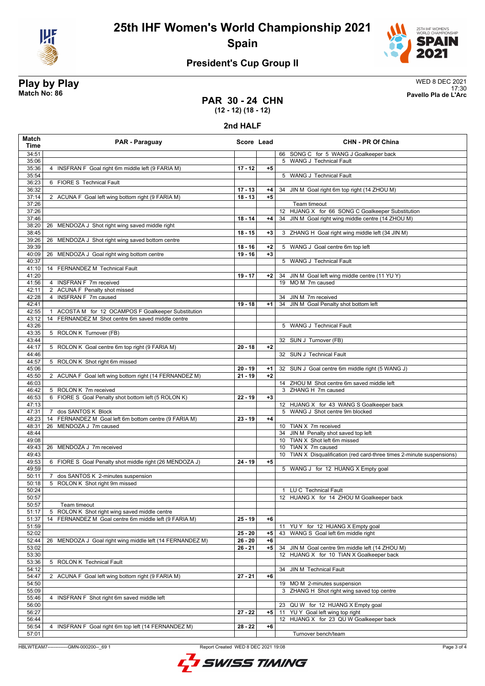



# **President's Cup Group II**

**Play by Play**<br>Match No: 86<br>Pavello Pla de L'Arc 17:30 **Match No: 86 Pavello Pla de L'Arc**

### **PAR 30 - 24 CHN (12 - 12) (18 - 12)**

**2nd HALF**

| Match<br>Time  | PAR - Paraguay                                                           | Score Lead |      | <b>CHN - PR Of China</b>                                                               |
|----------------|--------------------------------------------------------------------------|------------|------|----------------------------------------------------------------------------------------|
| 34:51          |                                                                          |            |      | 66 SONG C for 5 WANG J Goalkeeper back                                                 |
| 35:06          |                                                                          |            |      | 5 WANG J Technical Fault                                                               |
| 35:36          | INSFRAN F Goal right 6m middle left (9 FARIA M)<br>4                     | $17 - 12$  | $+5$ |                                                                                        |
| 35:54          |                                                                          |            |      | 5 WANG J Technical Fault                                                               |
| 36:23<br>36:32 | 6 FIORE S Technical Fault                                                | $17 - 13$  | +4   | 34 JIN M Goal right 6m top right (14 ZHOU M)                                           |
| 37:14          | 2 ACUNA F Goal left wing bottom right (9 FARIA M)                        | $18 - 13$  | $+5$ |                                                                                        |
| 37:26          |                                                                          |            |      | Team timeout                                                                           |
| 37:26          |                                                                          |            |      | 12 HUANG X for 66 SONG C Goalkeeper Substitution                                       |
| 37:46          |                                                                          | $18 - 14$  | $+4$ | 34 JIN M Goal right wing middle centre (14 ZHOU M)                                     |
| 38:20          | MENDOZA J Shot right wing saved middle right<br>26                       |            |      |                                                                                        |
| 38:45          |                                                                          | $18 - 15$  | $+3$ | 3 ZHANG H Goal right wing middle left (34 JIN M)                                       |
| 39:26          | MENDOZA J Shot right wing saved bottom centre<br>26                      |            |      |                                                                                        |
| 39:39          |                                                                          | $18 - 16$  | $+2$ | 5 WANG J Goal centre 6m top left                                                       |
| 40:09          | 26 MENDOZA J Goal right wing bottom centre                               | $19 - 16$  | $+3$ |                                                                                        |
| 40:37          |                                                                          |            |      | 5 WANG J Technical Fault                                                               |
| 41:10          | 14 FERNANDEZ M Technical Fault                                           |            |      |                                                                                        |
| 41:20<br>41:56 | 4 INSFRAN F 7m received                                                  | $19 - 17$  | $+2$ | 34 JIN M Goal left wing middle centre (11 YU Y)<br>19 MO M 7m caused                   |
| 42:11          | 2 ACUNA F Penalty shot missed                                            |            |      |                                                                                        |
| 42:28          | 4 INSFRAN F 7m caused                                                    |            |      | 34 JIN M 7m received                                                                   |
| 42:41          |                                                                          | $19 - 18$  | $+1$ | 34 JIN M Goal Penalty shot bottom left                                                 |
| 42:55          | ACOSTA M for 12 OCAMPOS F Goalkeeper Substitution                        |            |      |                                                                                        |
| 43:12          | FERNANDEZ M Shot centre 6m saved middle centre<br>14                     |            |      |                                                                                        |
| 43:26          |                                                                          |            |      | 5 WANG J Technical Fault                                                               |
| 43:35          | 5 ROLON K Turnover (FB)                                                  |            |      |                                                                                        |
| 43:44          |                                                                          |            |      | 32 SUN J Turnover (FB)                                                                 |
| 44:17          | 5 ROLON K Goal centre 6m top right (9 FARIA M)                           | $20 - 18$  | $+2$ |                                                                                        |
| 44:46          |                                                                          |            |      | 32 SUN J Technical Fault                                                               |
| 44:57          | 5 ROLON K Shot right 6m missed                                           |            |      |                                                                                        |
| 45:06          |                                                                          | $20 - 19$  | $+1$ | 32 SUN J Goal centre 6m middle right (5 WANG J)                                        |
| 45:50          | 2 ACUNA F Goal left wing bottom right (14 FERNANDEZ M)                   | $21 - 19$  | $+2$ |                                                                                        |
| 46:03<br>46:42 | 5 ROLON K 7m received                                                    |            |      | 14 ZHOU M Shot centre 6m saved middle left<br>3 ZHANG H 7m caused                      |
| 46:53          | 6 FIORE S Goal Penalty shot bottom left (5 ROLON K)                      | $22 - 19$  | $+3$ |                                                                                        |
| 47:13          |                                                                          |            |      | 12 HUANG X for 43 WANG S Goalkeeper back                                               |
| 47:31          | dos SANTOS K Block<br>$\overline{7}$                                     |            |      | 5 WANG J Shot centre 9m blocked                                                        |
| 48:23          | FERNANDEZ M Goal left 6m bottom centre (9 FARIA M)<br>14                 | $23 - 19$  | $+4$ |                                                                                        |
| 48:31          | MENDOZA J 7m caused<br>26                                                |            |      | 10 TIAN X 7m received                                                                  |
| 48:44          |                                                                          |            |      | 34 JIN M Penalty shot saved top left                                                   |
| 49:08          |                                                                          |            |      | 10 TIAN X Shot left 6m missed                                                          |
| 49:43          | 26 MENDOZA J 7m received                                                 |            |      | 10 TIAN X 7m caused                                                                    |
| 49:43          |                                                                          |            |      | TIAN X Disqualification (red card-three times 2-minute suspensions)<br>10 <sup>°</sup> |
| 49:53          | 6 FIORE S Goal Penalty shot middle right (26 MENDOZA J)                  | $24 - 19$  | $+5$ |                                                                                        |
| 49:59          |                                                                          |            |      | 5 WANG J for 12 HUANG X Empty goal                                                     |
| 50:11<br>50:18 | dos SANTOS K 2-minutes suspension<br>7<br>5 ROLON K Shot right 9m missed |            |      |                                                                                        |
| 50:24          |                                                                          |            |      | 1 LU C Technical Fault                                                                 |
| 50:57          |                                                                          |            |      | 12 HUANG X for 14 ZHOU M Goalkeeper back                                               |
| 50:57          | Team timeout                                                             |            |      |                                                                                        |
| 51:17          | ROLON K Shot right wing saved middle centre<br>5                         |            |      |                                                                                        |
| 51:37          | FERNANDEZ M Goal centre 6m middle left (9 FARIA M)<br>14                 | $25 - 19$  | $+6$ |                                                                                        |
| 51:59          |                                                                          |            |      | 11 YUY for 12 HUANG X Empty goal                                                       |
| 52:02          |                                                                          | $25 - 20$  | $+5$ | 43 WANG S Goal left 6m middle right                                                    |
| 52:44          | 26 MENDOZA J Goal right wing middle left (14 FERNANDEZ M)                | $26 - 20$  | $+6$ |                                                                                        |
| 53:02          |                                                                          | $26 - 21$  | $+5$ | 34 JIN M Goal centre 9m middle left (14 ZHOU M)                                        |
| 53:30          |                                                                          |            |      | 12 HUANG X for 10 TIAN X Goalkeeper back                                               |
| 53:36          | 5 ROLON K Technical Fault                                                |            |      |                                                                                        |
| 54:12          |                                                                          |            |      | 34 JIN M Technical Fault                                                               |
| 54:47<br>54:50 | 2 ACUNA F Goal left wing bottom right (9 FARIA M)                        | $27 - 21$  | +6   | 19 MO M 2-minutes suspension                                                           |
| 55:09          |                                                                          |            |      | 3 ZHANG H Shot right wing saved top centre                                             |
| 55:46          | 4 INSFRAN F Shot right 6m saved middle left                              |            |      |                                                                                        |
| 56:00          |                                                                          |            |      | 23 QU W for 12 HUANG X Empty goal                                                      |
| 56:27          |                                                                          | $27 - 22$  | $+5$ | 11 YU Y Goal left wing top right                                                       |
| 56:44          |                                                                          |            |      | 12 HUANG X for 23 QU W Goalkeeper back                                                 |
| 56:54          | INSFRAN F Goal right 6m top left (14 FERNANDEZ M)<br>4                   | $28 - 22$  | $+6$ |                                                                                        |
| 57:01          |                                                                          |            |      | Turnover bench/team                                                                    |